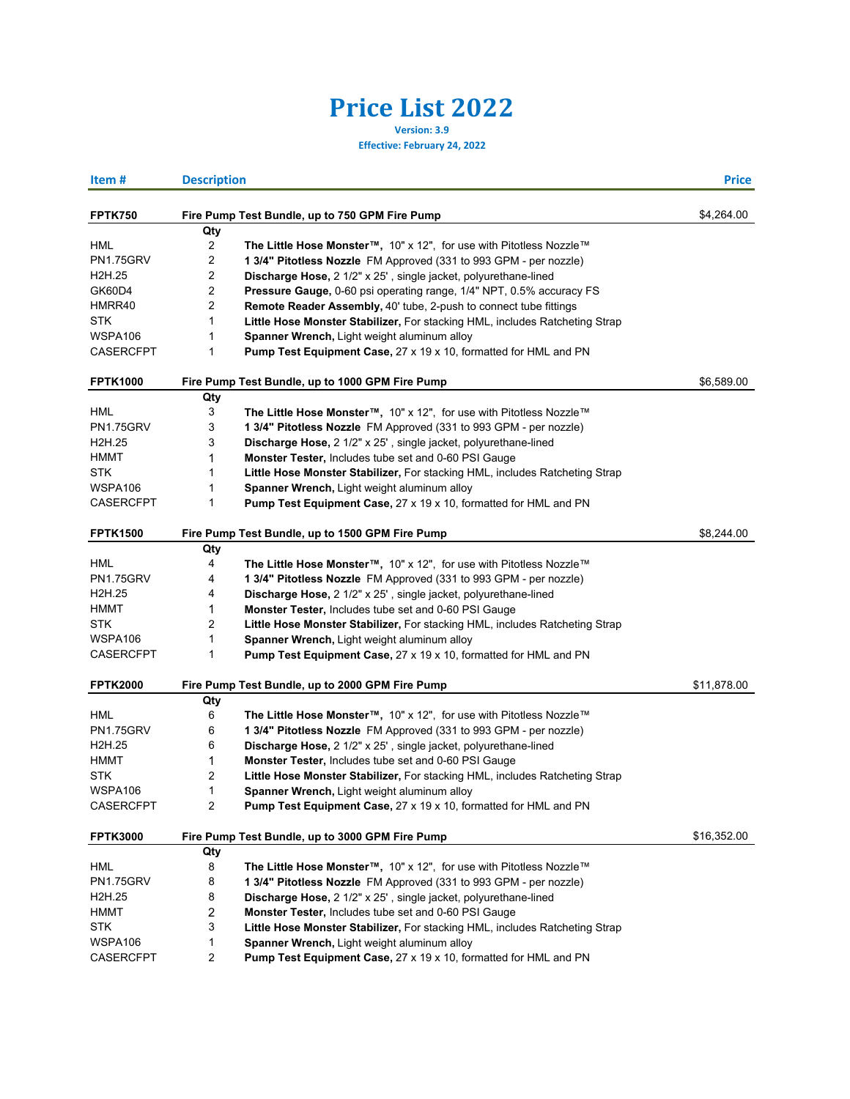## **Price List 2022**

**Version: 3.9**

**Effective: February 24, 2022**

| Item#                           | <b>Description</b>      |                                                                                              | <b>Price</b> |
|---------------------------------|-------------------------|----------------------------------------------------------------------------------------------|--------------|
| <b>FPTK750</b>                  |                         | Fire Pump Test Bundle, up to 750 GPM Fire Pump                                               | \$4,264.00   |
|                                 | Qty                     |                                                                                              |              |
| HML                             | 2                       | The Little Hose Monster™, 10" x 12", for use with Pitotless Nozzle™                          |              |
| <b>PN1.75GRV</b>                | 2                       | 1 3/4" Pitotless Nozzle FM Approved (331 to 993 GPM - per nozzle)                            |              |
| H2H.25                          | 2                       | Discharge Hose, 2 1/2" x 25', single jacket, polyurethane-lined                              |              |
| GK60D4                          | 2                       | Pressure Gauge, 0-60 psi operating range, 1/4" NPT, 0.5% accuracy FS                         |              |
| HMRR40                          | 2                       | Remote Reader Assembly, 40' tube, 2-push to connect tube fittings                            |              |
| <b>STK</b>                      | 1                       | Little Hose Monster Stabilizer, For stacking HML, includes Ratcheting Strap                  |              |
| WSPA106                         | 1                       | Spanner Wrench, Light weight aluminum alloy                                                  |              |
| CASERCFPT                       | 1                       | <b>Pump Test Equipment Case, 27 x 19 x 10, formatted for HML and PN</b>                      |              |
| <b>FPTK1000</b>                 |                         | Fire Pump Test Bundle, up to 1000 GPM Fire Pump                                              | \$6,589.00   |
|                                 | Qty                     |                                                                                              |              |
| HML                             | 3                       | The Little Hose Monster™, 10" x 12", for use with Pitotless Nozzle™                          |              |
| <b>PN1.75GRV</b>                | 3                       | 1 3/4" Pitotless Nozzle FM Approved (331 to 993 GPM - per nozzle)                            |              |
| H2H.25                          | 3                       | Discharge Hose, 2 1/2" x 25', single jacket, polyurethane-lined                              |              |
| HMMT                            | 1                       | Monster Tester, Includes tube set and 0-60 PSI Gauge                                         |              |
| <b>STK</b>                      | 1                       | Little Hose Monster Stabilizer, For stacking HML, includes Ratcheting Strap                  |              |
| WSPA106                         | 1                       | Spanner Wrench, Light weight aluminum alloy                                                  |              |
| <b>CASERCFPT</b>                | $\mathbf{1}$            | Pump Test Equipment Case, 27 x 19 x 10, formatted for HML and PN                             |              |
| <b>FPTK1500</b>                 |                         | Fire Pump Test Bundle, up to 1500 GPM Fire Pump                                              | \$8,244.00   |
|                                 | Qty                     |                                                                                              |              |
| HML                             | 4                       | The Little Hose Monster <sup>™</sup> , 10" x 12", for use with Pitotless Nozzle <sup>™</sup> |              |
| <b>PN1.75GRV</b>                | 4                       | 1 3/4" Pitotless Nozzle FM Approved (331 to 993 GPM - per nozzle)                            |              |
| H <sub>2</sub> H <sub>.25</sub> | 4                       | Discharge Hose, 2 1/2" x 25', single jacket, polyurethane-lined                              |              |
| HMMT                            | 1                       | Monster Tester, Includes tube set and 0-60 PSI Gauge                                         |              |
| <b>STK</b>                      | 2                       | Little Hose Monster Stabilizer, For stacking HML, includes Ratcheting Strap                  |              |
| WSPA106                         | 1                       | Spanner Wrench, Light weight aluminum alloy                                                  |              |
| <b>CASERCFPT</b>                | 1                       | <b>Pump Test Equipment Case, 27 x 19 x 10, formatted for HML and PN</b>                      |              |
| <b>FPTK2000</b>                 |                         | Fire Pump Test Bundle, up to 2000 GPM Fire Pump                                              | \$11,878.00  |
|                                 | Qty                     |                                                                                              |              |
| <b>HML</b>                      | 6                       | The Little Hose Monster™, 10" x 12", for use with Pitotless Nozzle™                          |              |
| <b>PN1.75GRV</b>                | 6                       | 1 3/4" Pitotless Nozzle FM Approved (331 to 993 GPM - per nozzle)                            |              |
| H <sub>2</sub> H <sub>.25</sub> | 6                       | Discharge Hose, 2 1/2" x 25', single jacket, polyurethane-lined                              |              |
| HMMT                            | 1                       | Monster Tester, Includes tube set and 0-60 PSI Gauge                                         |              |
| STK                             | 2                       | Little Hose Monster Stabilizer, For stacking HML, includes Ratcheting Strap                  |              |
| WSPA106                         | 1                       | Spanner Wrench, Light weight aluminum alloy                                                  |              |
| <b>CASERCFPT</b>                | $\overline{2}$          | Pump Test Equipment Case, 27 x 19 x 10, formatted for HML and PN                             |              |
| <b>FPTK3000</b>                 |                         | Fire Pump Test Bundle, up to 3000 GPM Fire Pump                                              | \$16,352.00  |
|                                 | Qty                     |                                                                                              |              |
| HML                             | 8                       | The Little Hose Monster™, 10" x 12", for use with Pitotless Nozzle™                          |              |
| PN1.75GRV                       | 8                       | 1 3/4" Pitotless Nozzle FM Approved (331 to 993 GPM - per nozzle)                            |              |
| H <sub>2</sub> H <sub>.25</sub> | 8                       | Discharge Hose, 2 1/2" x 25', single jacket, polyurethane-lined                              |              |
| <b>HMMT</b>                     | 2                       | Monster Tester, Includes tube set and 0-60 PSI Gauge                                         |              |
| <b>STK</b>                      | 3                       | Little Hose Monster Stabilizer, For stacking HML, includes Ratcheting Strap                  |              |
| WSPA106                         | 1                       | Spanner Wrench, Light weight aluminum alloy                                                  |              |
| CASERCFPT                       | $\overline{\mathbf{c}}$ | Pump Test Equipment Case, 27 x 19 x 10, formatted for HML and PN                             |              |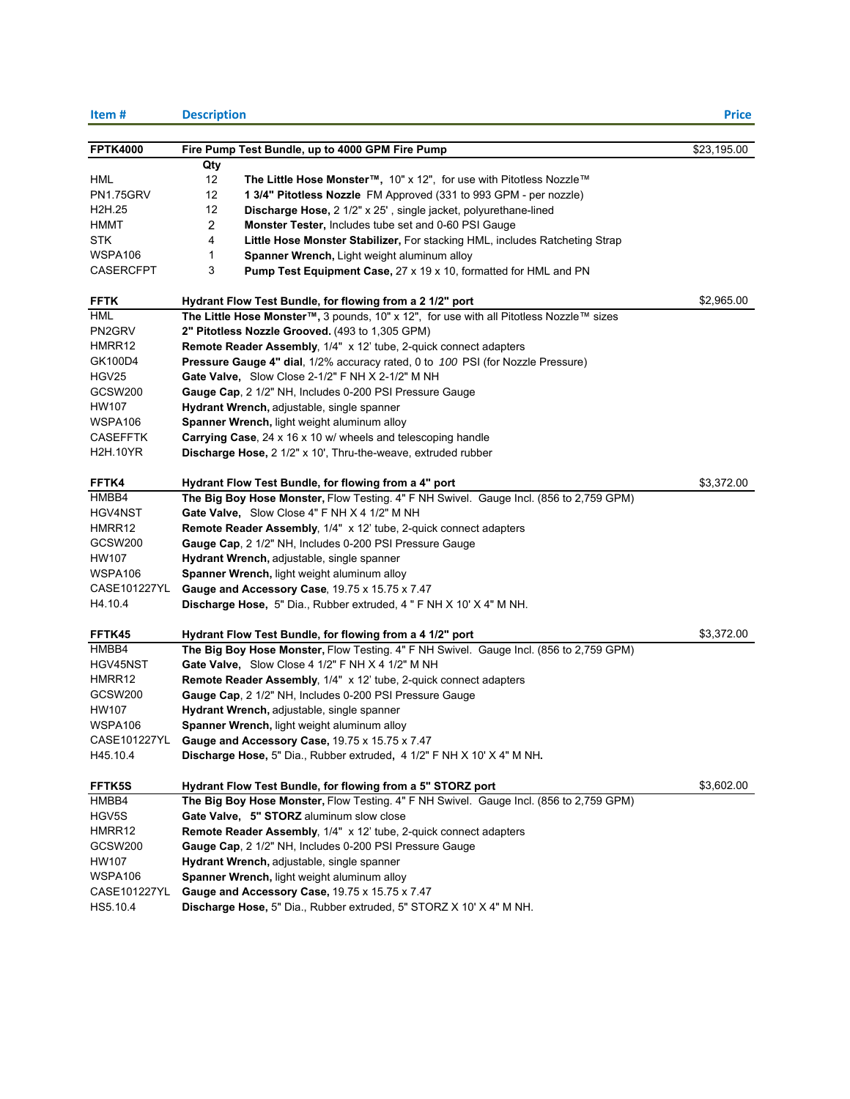| Item#                           | <b>Description</b>                                                                      | <b>Price</b> |
|---------------------------------|-----------------------------------------------------------------------------------------|--------------|
|                                 |                                                                                         |              |
| <b>FPTK4000</b>                 | Fire Pump Test Bundle, up to 4000 GPM Fire Pump                                         | \$23,195.00  |
|                                 | Qty                                                                                     |              |
| HML                             | 12<br>The Little Hose Monster™, 10" x 12", for use with Pitotless Nozzle™               |              |
| <b>PN1.75GRV</b>                | 12<br>1 3/4" Pitotless Nozzle FM Approved (331 to 993 GPM - per nozzle)                 |              |
| H <sub>2</sub> H <sub>.25</sub> | 12<br>Discharge Hose, 2 1/2" x 25', single jacket, polyurethane-lined                   |              |
| <b>HMMT</b>                     | $\overline{c}$<br>Monster Tester, Includes tube set and 0-60 PSI Gauge                  |              |
| <b>STK</b>                      | 4<br>Little Hose Monster Stabilizer, For stacking HML, includes Ratcheting Strap        |              |
| WSPA106                         | 1<br>Spanner Wrench, Light weight aluminum alloy                                        |              |
| <b>CASERCFPT</b>                | 3<br>Pump Test Equipment Case, 27 x 19 x 10, formatted for HML and PN                   |              |
| <b>FFTK</b>                     | Hydrant Flow Test Bundle, for flowing from a 2 1/2" port                                | \$2,965.00   |
| HML                             | The Little Hose Monster™, 3 pounds, 10" x 12", for use with all Pitotless Nozzle™ sizes |              |
| PN2GRV                          | 2" Pitotless Nozzle Grooved. (493 to 1,305 GPM)                                         |              |
| HMRR12                          | <b>Remote Reader Assembly, 1/4" x 12' tube, 2-quick connect adapters</b>                |              |
| GK100D4                         | Pressure Gauge 4" dial, 1/2% accuracy rated, 0 to 100 PSI (for Nozzle Pressure)         |              |
| HGV25                           | Gate Valve, Slow Close 2-1/2" F NH X 2-1/2" M NH                                        |              |
| <b>GCSW200</b>                  | Gauge Cap, 2 1/2" NH, Includes 0-200 PSI Pressure Gauge                                 |              |
| HW107                           | Hydrant Wrench, adjustable, single spanner                                              |              |
| WSPA106                         | Spanner Wrench, light weight aluminum alloy                                             |              |
| <b>CASEFFTK</b>                 | Carrying Case, 24 x 16 x 10 w/ wheels and telescoping handle                            |              |
| <b>H2H.10YR</b>                 | Discharge Hose, 2 1/2" x 10', Thru-the-weave, extruded rubber                           |              |
|                                 |                                                                                         |              |
| FFTK4                           | Hydrant Flow Test Bundle, for flowing from a 4" port                                    | \$3,372.00   |
| HMBB4                           | The Big Boy Hose Monster, Flow Testing. 4" F NH Swivel. Gauge Incl. (856 to 2,759 GPM)  |              |
| HGV4NST                         | Gate Valve, Slow Close 4" F NH X 4 1/2" M NH                                            |              |
| HMRR12                          | <b>Remote Reader Assembly, 1/4" x 12' tube, 2-quick connect adapters</b>                |              |
| <b>GCSW200</b>                  | Gauge Cap, 2 1/2" NH, Includes 0-200 PSI Pressure Gauge                                 |              |
| <b>HW107</b>                    | Hydrant Wrench, adjustable, single spanner                                              |              |
| WSPA106                         | Spanner Wrench, light weight aluminum alloy                                             |              |
| CASE101227YL                    | Gauge and Accessory Case, 19.75 x 15.75 x 7.47                                          |              |
| H4.10.4                         | Discharge Hose, 5" Dia., Rubber extruded, 4 " F NH X 10' X 4" M NH.                     |              |
| FFTK45                          | Hydrant Flow Test Bundle, for flowing from a 4 1/2" port                                | \$3,372.00   |
| HMBB4                           | The Big Boy Hose Monster, Flow Testing. 4" F NH Swivel. Gauge Incl. (856 to 2,759 GPM)  |              |
| HGV45NST                        | Gate Valve, Slow Close 4 1/2" F NH X 4 1/2" M NH                                        |              |
| HMRR12                          | Remote Reader Assembly, 1/4" x 12' tube, 2-quick connect adapters                       |              |
| GCSW <sub>200</sub>             | Gauge Cap, 2 1/2" NH, Includes 0-200 PSI Pressure Gauge                                 |              |
| HW107                           | Hydrant Wrench, adjustable, single spanner                                              |              |
| WSPA106                         | <b>Spanner Wrench, light weight aluminum alloy</b>                                      |              |
| CASE101227YL                    | Gauge and Accessory Case, 19.75 x 15.75 x 7.47                                          |              |
| H45.10.4                        | Discharge Hose, 5" Dia., Rubber extruded, 4 1/2" F NH X 10' X 4" M NH.                  |              |
|                                 |                                                                                         |              |
| FFTK5S                          | Hydrant Flow Test Bundle, for flowing from a 5" STORZ port                              | \$3,602.00   |
| HMBB4                           | The Big Boy Hose Monster, Flow Testing. 4" F NH Swivel. Gauge Incl. (856 to 2,759 GPM)  |              |
| HGV5S                           | Gate Valve, 5" STORZ aluminum slow close                                                |              |
| HMRR12                          | Remote Reader Assembly, 1/4" x 12' tube, 2-quick connect adapters                       |              |
| GCSW200                         | Gauge Cap, 2 1/2" NH, Includes 0-200 PSI Pressure Gauge                                 |              |
| HW107                           | Hydrant Wrench, adjustable, single spanner                                              |              |
| WSPA106                         | Spanner Wrench, light weight aluminum alloy                                             |              |
| CASE101227YL                    | Gauge and Accessory Case, 19.75 x 15.75 x 7.47                                          |              |
| HS5.10.4                        | Discharge Hose, 5" Dia., Rubber extruded, 5" STORZ X 10' X 4" M NH.                     |              |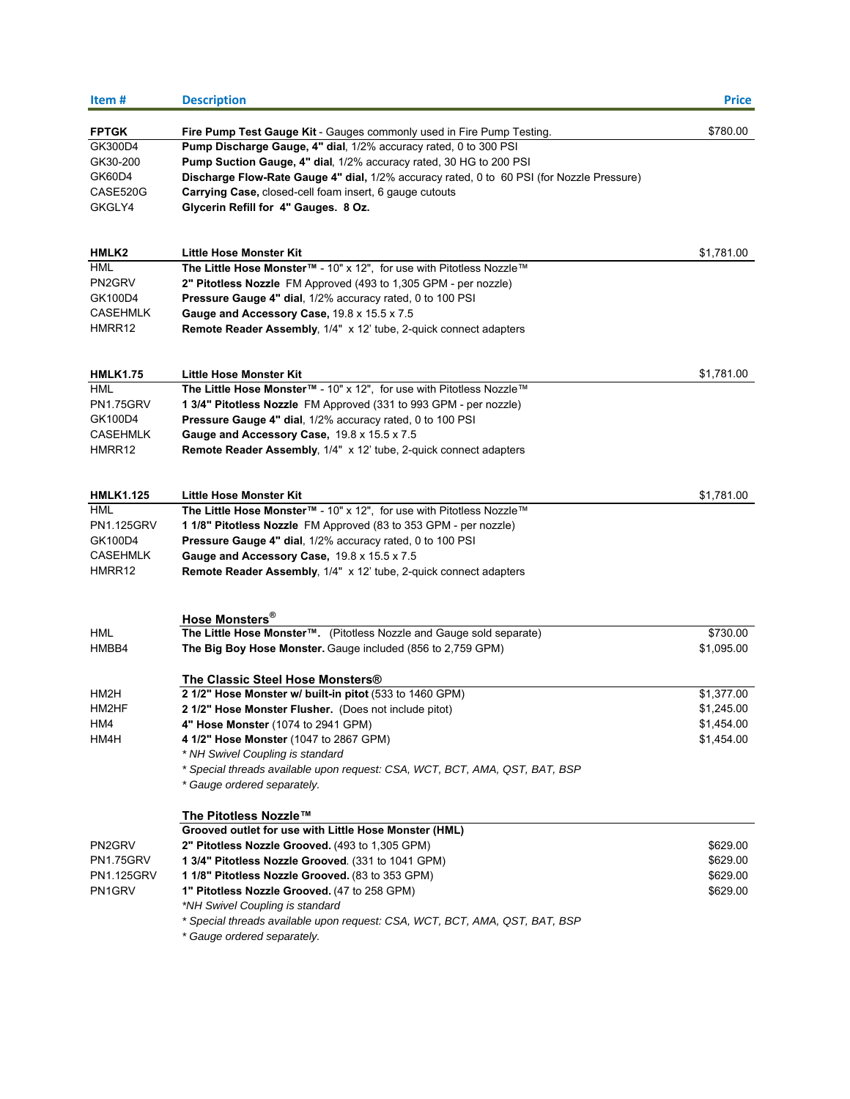| Item#                   | <b>Description</b>                                                                                                                        | <b>Price</b> |
|-------------------------|-------------------------------------------------------------------------------------------------------------------------------------------|--------------|
|                         |                                                                                                                                           | \$780.00     |
| <b>FPTGK</b><br>GK300D4 | Fire Pump Test Gauge Kit - Gauges commonly used in Fire Pump Testing.<br>Pump Discharge Gauge, 4" dial, 1/2% accuracy rated, 0 to 300 PSI |              |
| GK30-200                | Pump Suction Gauge, 4" dial, 1/2% accuracy rated, 30 HG to 200 PSI                                                                        |              |
| GK60D4                  |                                                                                                                                           |              |
| CASE520G                | Discharge Flow-Rate Gauge 4" dial, 1/2% accuracy rated, 0 to 60 PSI (for Nozzle Pressure)                                                 |              |
| GKGLY4                  | <b>Carrying Case, closed-cell foam insert, 6 gauge cutouts</b><br>Glycerin Refill for 4" Gauges. 8 Oz.                                    |              |
|                         |                                                                                                                                           |              |
| HMLK2                   | Little Hose Monster Kit                                                                                                                   | \$1,781.00   |
| HML                     | The Little Hose Monster™ - 10" x 12", for use with Pitotless Nozzle™                                                                      |              |
| PN2GRV                  | 2" Pitotless Nozzle FM Approved (493 to 1,305 GPM - per nozzle)                                                                           |              |
| GK100D4                 | Pressure Gauge 4" dial, 1/2% accuracy rated, 0 to 100 PSI                                                                                 |              |
| <b>CASEHMLK</b>         | Gauge and Accessory Case, 19.8 x 15.5 x 7.5                                                                                               |              |
| HMRR12                  | <b>Remote Reader Assembly, 1/4" x 12' tube, 2-quick connect adapters</b>                                                                  |              |
| <b>HMLK1.75</b>         | <b>Little Hose Monster Kit</b>                                                                                                            | \$1,781.00   |
| HML                     | The Little Hose Monster™ - 10" x 12", for use with Pitotless Nozzle™                                                                      |              |
| PN1.75GRV               | 1 3/4" Pitotless Nozzle FM Approved (331 to 993 GPM - per nozzle)                                                                         |              |
| GK100D4                 | Pressure Gauge 4" dial, 1/2% accuracy rated, 0 to 100 PSI                                                                                 |              |
| <b>CASEHMLK</b>         | Gauge and Accessory Case, 19.8 x 15.5 x 7.5                                                                                               |              |
| HMRR12                  | Remote Reader Assembly, 1/4" x 12' tube, 2-quick connect adapters                                                                         |              |
|                         |                                                                                                                                           |              |
| <b>HMLK1.125</b>        | <b>Little Hose Monster Kit</b>                                                                                                            | \$1,781.00   |
| HML                     | The Little Hose Monster™ - 10" x 12", for use with Pitotless Nozzle™                                                                      |              |
| <b>PN1.125GRV</b>       | 1 1/8" Pitotless Nozzle FM Approved (83 to 353 GPM - per nozzle)                                                                          |              |
| GK100D4                 | <b>Pressure Gauge 4" dial, 1/2% accuracy rated, 0 to 100 PSI</b>                                                                          |              |
| <b>CASEHMLK</b>         | Gauge and Accessory Case, 19.8 x 15.5 x 7.5                                                                                               |              |
| HMRR12                  | <b>Remote Reader Assembly, 1/4" x 12' tube, 2-quick connect adapters</b>                                                                  |              |
|                         | Hose Monsters <sup>®</sup>                                                                                                                |              |
| <b>HML</b>              | The Little Hose Monster™. (Pitotless Nozzle and Gauge sold separate)                                                                      | \$730.00     |
| HMBB4                   | The Big Boy Hose Monster. Gauge included (856 to 2,759 GPM)                                                                               | \$1,095.00   |
|                         |                                                                                                                                           |              |
|                         | The Classic Steel Hose Monsters®                                                                                                          |              |
| HM2H                    | 2 1/2" Hose Monster w/ built-in pitot (533 to 1460 GPM)                                                                                   | \$1,377.00   |
| HM2HF                   | 2 1/2" Hose Monster Flusher. (Does not include pitot)                                                                                     | \$1,245.00   |
| HM4                     | 4" Hose Monster (1074 to 2941 GPM)                                                                                                        | \$1,454.00   |
| HM4H                    | 4 1/2" Hose Monster (1047 to 2867 GPM)                                                                                                    | \$1,454.00   |
|                         | * NH Swivel Coupling is standard                                                                                                          |              |
|                         | * Special threads available upon request: CSA, WCT, BCT, AMA, QST, BAT, BSP                                                               |              |
|                         | * Gauge ordered separately.                                                                                                               |              |
|                         | The Pitotless Nozzle™                                                                                                                     |              |
|                         | Grooved outlet for use with Little Hose Monster (HML)                                                                                     |              |
| PN2GRV                  | 2" Pitotless Nozzle Grooved. (493 to 1,305 GPM)                                                                                           | \$629.00     |
| PN1.75GRV               | 1 3/4" Pitotless Nozzle Grooved. (331 to 1041 GPM)                                                                                        | \$629.00     |
| PN1.125GRV              | 1 1/8" Pitotless Nozzle Grooved. (83 to 353 GPM)                                                                                          | \$629.00     |
| PN1GRV                  | 1" Pitotless Nozzle Grooved. (47 to 258 GPM)                                                                                              | \$629.00     |
|                         | *NH Swivel Coupling is standard                                                                                                           |              |
|                         | * Special threads available upon request: CSA, WCT, BCT, AMA, QST, BAT, BSP<br>* Gauge ordered separately.                                |              |
|                         |                                                                                                                                           |              |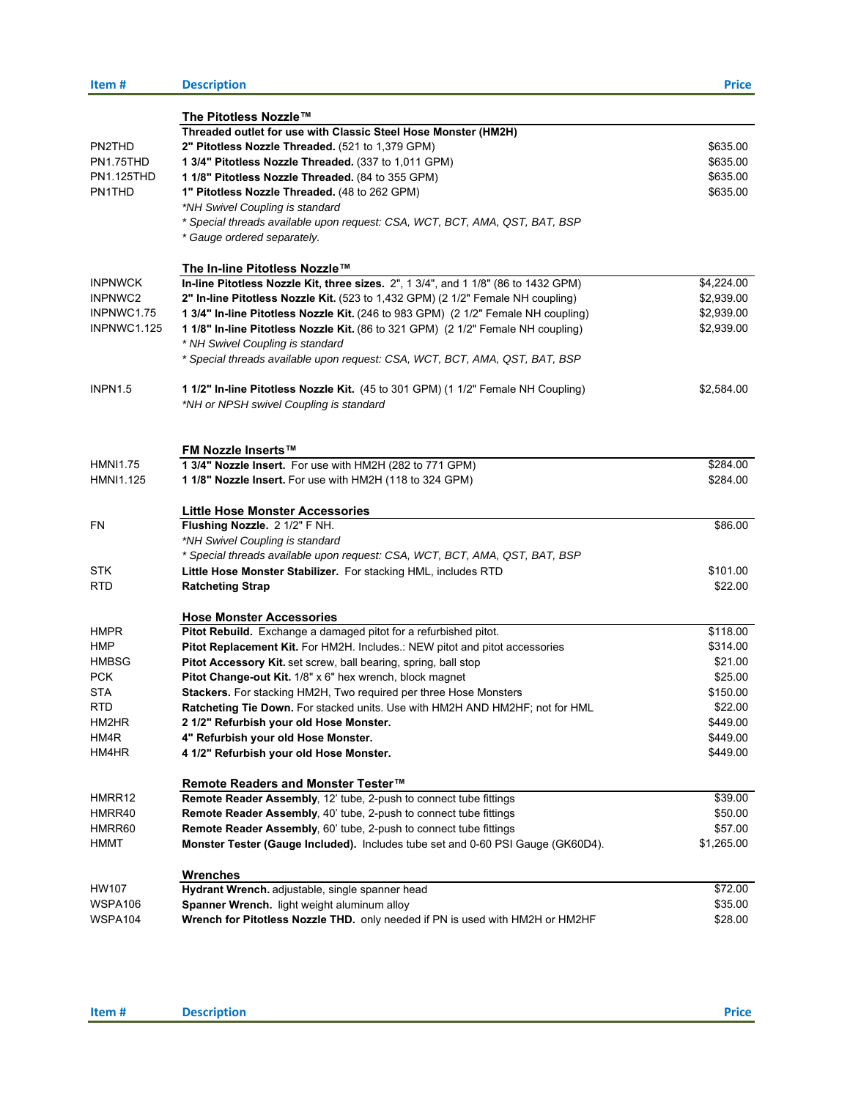| Item#               | <b>Description</b>                                                                 | <b>Price</b> |
|---------------------|------------------------------------------------------------------------------------|--------------|
|                     | The Pitotless Nozzle™                                                              |              |
|                     | Threaded outlet for use with Classic Steel Hose Monster (HM2H)                     |              |
| PN2THD              | 2" Pitotless Nozzle Threaded. (521 to 1,379 GPM)                                   | \$635.00     |
| PN1.75THD           | 1 3/4" Pitotless Nozzle Threaded. (337 to 1,011 GPM)                               | \$635.00     |
| PN1.125THD          | 1 1/8" Pitotless Nozzle Threaded. (84 to 355 GPM)                                  | \$635.00     |
| PN1THD              | 1" Pitotless Nozzle Threaded. (48 to 262 GPM)                                      | \$635.00     |
|                     | *NH Swivel Coupling is standard                                                    |              |
|                     | * Special threads available upon request: CSA, WCT, BCT, AMA, QST, BAT, BSP        |              |
|                     | * Gauge ordered separately.                                                        |              |
|                     | The In-line Pitotless Nozzle™                                                      |              |
| <b>INPNWCK</b>      | In-line Pitotless Nozzle Kit, three sizes. 2", 1 3/4", and 1 1/8" (86 to 1432 GPM) | \$4,224.00   |
| INPNWC2             | 2" In-line Pitotless Nozzle Kit. (523 to 1,432 GPM) (2 1/2" Female NH coupling)    | \$2,939.00   |
| INPNWC1.75          | 1 3/4" In-line Pitotless Nozzle Kit. (246 to 983 GPM) (2 1/2" Female NH coupling)  | \$2,939.00   |
| <b>INPNWC1.125</b>  | 1 1/8" In-line Pitotless Nozzle Kit. (86 to 321 GPM) (2 1/2" Female NH coupling)   | \$2,939.00   |
|                     | * NH Swivel Coupling is standard                                                   |              |
|                     | * Special threads available upon request: CSA, WCT, BCT, AMA, QST, BAT, BSP        |              |
| INPN <sub>1.5</sub> | 1 1/2" In-line Pitotless Nozzle Kit. (45 to 301 GPM) (1 1/2" Female NH Coupling)   | \$2,584.00   |
|                     | *NH or NPSH swivel Coupling is standard                                            |              |
|                     |                                                                                    |              |
|                     | <b>FM Nozzle Inserts™</b>                                                          |              |
| <b>HMNI1.75</b>     | 1 3/4" Nozzle Insert. For use with HM2H (282 to 771 GPM)                           | \$284.00     |
| HMNI1.125           | 1 1/8" Nozzle Insert. For use with HM2H (118 to 324 GPM)                           | \$284.00     |
|                     | <b>Little Hose Monster Accessories</b>                                             |              |
| FN                  | Flushing Nozzle. 2 1/2" F NH.                                                      | \$86.00      |
|                     | *NH Swivel Coupling is standard                                                    |              |
|                     | * Special threads available upon request: CSA, WCT, BCT, AMA, QST, BAT, BSP        |              |
| STK                 | Little Hose Monster Stabilizer. For stacking HML, includes RTD                     | \$101.00     |
| RTD                 | <b>Ratcheting Strap</b>                                                            | \$22.00      |
|                     | <b>Hose Monster Accessories</b>                                                    |              |
| HMPR                | Pitot Rebuild. Exchange a damaged pitot for a refurbished pitot.                   | \$118.00     |
| HMP                 | Pitot Replacement Kit. For HM2H. Includes.: NEW pitot and pitot accessories        | \$314.00     |
| <b>HMBSG</b>        | Pitot Accessory Kit. set screw, ball bearing, spring, ball stop                    | \$21.00      |
| PCK                 | Pitot Change-out Kit. 1/8" x 6" hex wrench, block magnet                           | \$25.00      |
| <b>STA</b>          | Stackers. For stacking HM2H, Two required per three Hose Monsters                  | \$150.00     |
| RTD                 | Ratcheting Tie Down. For stacked units. Use with HM2H AND HM2HF; not for HML       | \$22.00      |
| HM2HR               | 2 1/2" Refurbish your old Hose Monster.                                            | \$449.00     |
| HM4R                | 4" Refurbish your old Hose Monster.                                                | \$449.00     |
| HM4HR               | 4 1/2" Refurbish your old Hose Monster.                                            | \$449.00     |
|                     | Remote Readers and Monster Tester™                                                 |              |
| HMRR12              | Remote Reader Assembly, 12' tube, 2-push to connect tube fittings                  | \$39.00      |
| HMRR40              | <b>Remote Reader Assembly, 40' tube, 2-push to connect tube fittings</b>           | \$50.00      |
| HMRR60              | Remote Reader Assembly, 60' tube, 2-push to connect tube fittings                  | \$57.00      |
| HMMT                | Monster Tester (Gauge Included). Includes tube set and 0-60 PSI Gauge (GK60D4).    | \$1,265.00   |
|                     |                                                                                    |              |
|                     | <b>Wrenches</b>                                                                    |              |
| HW107               | Hydrant Wrench. adjustable, single spanner head                                    | \$72.00      |
| WSPA106             | Spanner Wrench. light weight aluminum alloy                                        | \$35.00      |
| WSPA104             | Wrench for Pitotless Nozzle THD. only needed if PN is used with HM2H or HM2HF      | \$28.00      |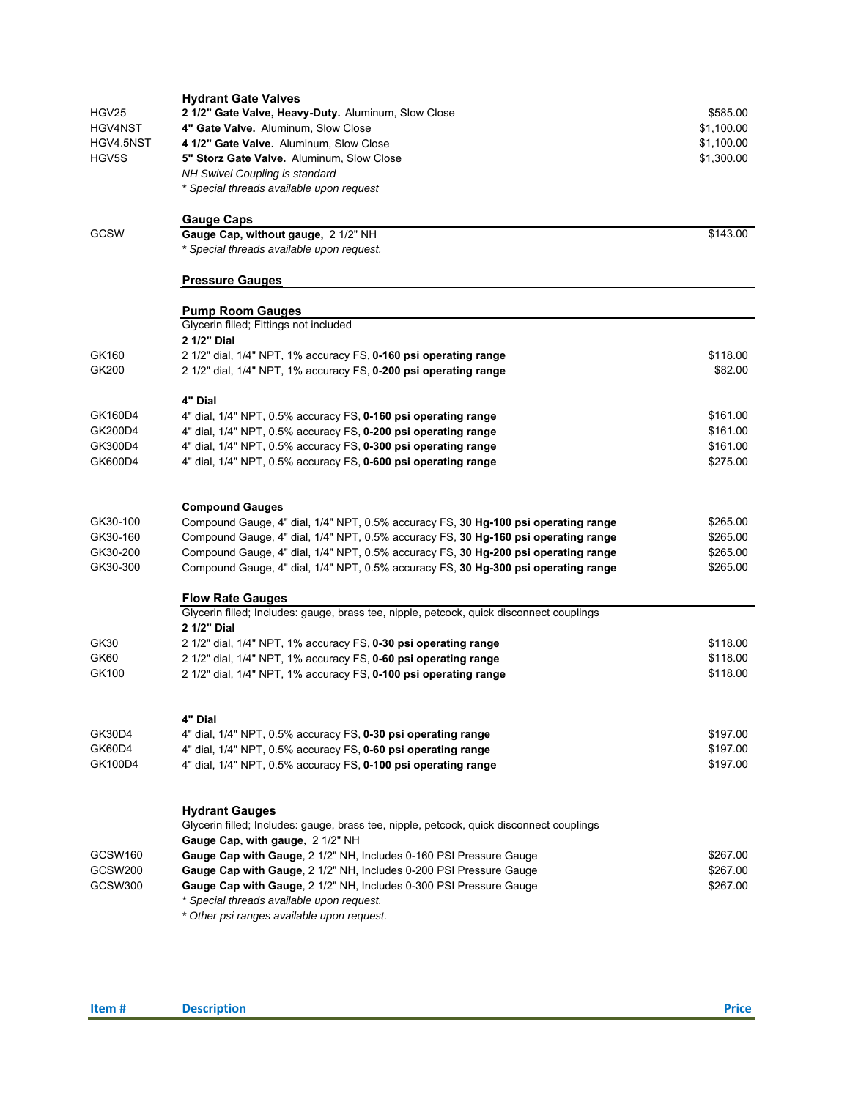|                | <b>Hydrant Gate Valves</b>                                                               |            |
|----------------|------------------------------------------------------------------------------------------|------------|
| HGV25          | 2 1/2" Gate Valve, Heavy-Duty. Aluminum, Slow Close                                      | \$585.00   |
| HGV4NST        | 4" Gate Valve. Aluminum, Slow Close                                                      | \$1,100.00 |
| HGV4.5NST      | 4 1/2" Gate Valve. Aluminum, Slow Close                                                  | \$1,100.00 |
| HGV5S          | 5" Storz Gate Valve. Aluminum, Slow Close                                                | \$1,300.00 |
|                | NH Swivel Coupling is standard                                                           |            |
|                | * Special threads available upon request                                                 |            |
|                | <b>Gauge Caps</b>                                                                        |            |
| GCSW           | Gauge Cap, without gauge, 2 1/2" NH                                                      | \$143.00   |
|                | * Special threads available upon request.                                                |            |
|                | <b>Pressure Gauges</b>                                                                   |            |
|                | <b>Pump Room Gauges</b>                                                                  |            |
|                | Glycerin filled; Fittings not included                                                   |            |
|                | 2 1/2" Dial                                                                              |            |
| GK160          | 2 1/2" dial, 1/4" NPT, 1% accuracy FS, 0-160 psi operating range                         | \$118.00   |
| GK200          | 2 1/2" dial, 1/4" NPT, 1% accuracy FS, 0-200 psi operating range                         | \$82.00    |
|                | 4" Dial                                                                                  |            |
| GK160D4        | 4" dial, 1/4" NPT, 0.5% accuracy FS, 0-160 psi operating range                           | \$161.00   |
| GK200D4        | 4" dial, 1/4" NPT, 0.5% accuracy FS, 0-200 psi operating range                           | \$161.00   |
| GK300D4        | 4" dial, 1/4" NPT, 0.5% accuracy FS, 0-300 psi operating range                           | \$161.00   |
| GK600D4        | 4" dial, 1/4" NPT, 0.5% accuracy FS, 0-600 psi operating range                           | \$275.00   |
|                |                                                                                          |            |
|                | <b>Compound Gauges</b>                                                                   |            |
| GK30-100       | Compound Gauge, 4" dial, 1/4" NPT, 0.5% accuracy FS, 30 Hg-100 psi operating range       | \$265.00   |
| GK30-160       | Compound Gauge, 4" dial, 1/4" NPT, 0.5% accuracy FS, 30 Hg-160 psi operating range       | \$265.00   |
| GK30-200       | Compound Gauge, 4" dial, 1/4" NPT, 0.5% accuracy FS, 30 Hg-200 psi operating range       | \$265.00   |
| GK30-300       | Compound Gauge, 4" dial, 1/4" NPT, 0.5% accuracy FS, 30 Hg-300 psi operating range       | \$265.00   |
|                | <b>Flow Rate Gauges</b>                                                                  |            |
|                | Glycerin filled; Includes: gauge, brass tee, nipple, petcock, quick disconnect couplings |            |
|                | 2 1/2" Dial                                                                              |            |
| GK30           | 2 1/2" dial, 1/4" NPT, 1% accuracy FS, 0-30 psi operating range                          | \$118.00   |
| GK60           | 2 1/2" dial, 1/4" NPT, 1% accuracy FS, 0-60 psi operating range                          | \$118.00   |
| GK100          | 2 1/2" dial, 1/4" NPT, 1% accuracy FS, 0-100 psi operating range                         | \$118.00   |
|                | 4" Dial                                                                                  |            |
| GK30D4         | 4" dial, 1/4" NPT, 0.5% accuracy FS, 0-30 psi operating range                            | \$197.00   |
| <b>GK60D4</b>  | 4" dial, 1/4" NPT, 0.5% accuracy FS, 0-60 psi operating range                            | \$197.00   |
| GK100D4        | 4" dial, 1/4" NPT, 0.5% accuracy FS, 0-100 psi operating range                           | \$197.00   |
|                |                                                                                          |            |
|                | <b>Hydrant Gauges</b>                                                                    |            |
|                | Glycerin filled; Includes: gauge, brass tee, nipple, petcock, quick disconnect couplings |            |
|                | Gauge Cap, with gauge, 2 1/2" NH                                                         |            |
| GCSW160        | Gauge Cap with Gauge, 2 1/2" NH, Includes 0-160 PSI Pressure Gauge                       | \$267.00   |
| <b>GCSW200</b> | Gauge Cap with Gauge, 2 1/2" NH, Includes 0-200 PSI Pressure Gauge                       | \$267.00   |
| GCSW300        | Gauge Cap with Gauge, 2 1/2" NH, Includes 0-300 PSI Pressure Gauge                       | \$267.00   |
|                | * Special threads available upon request.                                                |            |
|                | * Other psi ranges available upon request.                                               |            |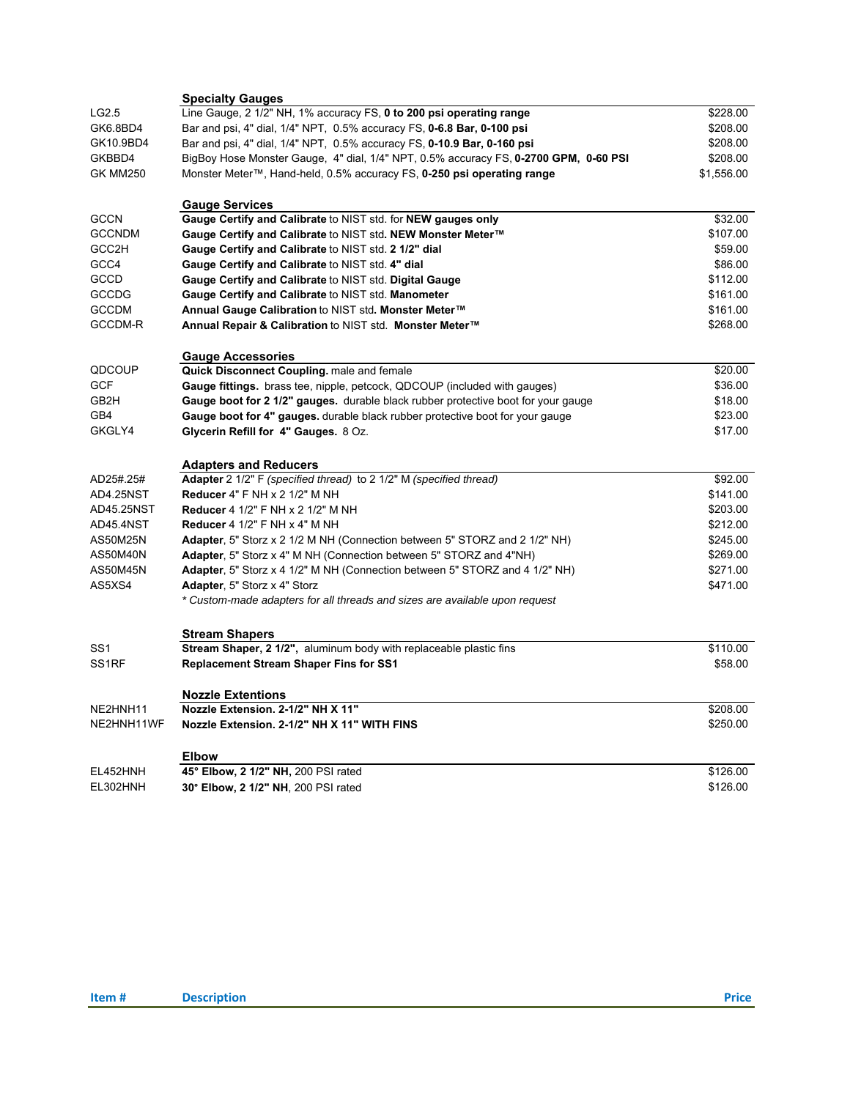|                    | <b>Specialty Gauges</b>                                                              |            |
|--------------------|--------------------------------------------------------------------------------------|------------|
| LG2.5              | Line Gauge, 2 1/2" NH, 1% accuracy FS, 0 to 200 psi operating range                  | \$228.00   |
| GK6.8BD4           | Bar and psi, 4" dial, 1/4" NPT, 0.5% accuracy FS, 0-6.8 Bar, 0-100 psi               | \$208.00   |
| GK10.9BD4          | Bar and psi, 4" dial, 1/4" NPT, 0.5% accuracy FS, 0-10.9 Bar, 0-160 psi              | \$208.00   |
| GKBBD4             | BigBoy Hose Monster Gauge, 4" dial, 1/4" NPT, 0.5% accuracy FS, 0-2700 GPM, 0-60 PSI | \$208.00   |
| <b>GK MM250</b>    | Monster Meter™, Hand-held, 0.5% accuracy FS, 0-250 psi operating range               | \$1,556.00 |
|                    | <b>Gauge Services</b>                                                                |            |
| <b>GCCN</b>        | Gauge Certify and Calibrate to NIST std. for NEW gauges only                         | \$32.00    |
| <b>GCCNDM</b>      | Gauge Certify and Calibrate to NIST std. NEW Monster Meter™                          | \$107.00   |
| GCC2H              | Gauge Certify and Calibrate to NIST std. 2 1/2" dial                                 | \$59.00    |
| GCC4               | Gauge Certify and Calibrate to NIST std. 4" dial                                     | \$86.00    |
| GCCD               | Gauge Certify and Calibrate to NIST std. Digital Gauge                               | \$112.00   |
| GCCDG              | Gauge Certify and Calibrate to NIST std. Manometer                                   | \$161.00   |
| <b>GCCDM</b>       | Annual Gauge Calibration to NIST std. Monster Meter™                                 | \$161.00   |
| GCCDM-R            | Annual Repair & Calibration to NIST std. Monster Meter™                              | \$268.00   |
|                    | <b>Gauge Accessories</b>                                                             |            |
| QDCOUP             | Quick Disconnect Coupling. male and female                                           | \$20.00    |
| <b>GCF</b>         | Gauge fittings. brass tee, nipple, petcock, QDCOUP (included with gauges)            | \$36.00    |
| GB2H               | Gauge boot for 2 1/2" gauges. durable black rubber protective boot for your gauge    | \$18.00    |
| GB4                | Gauge boot for 4" gauges. durable black rubber protective boot for your gauge        | \$23.00    |
| GKGLY4             | Glycerin Refill for 4" Gauges. 8 Oz.                                                 | \$17.00    |
|                    | <b>Adapters and Reducers</b>                                                         |            |
| AD25#.25#          | Adapter 2 1/2" F (specified thread) to 2 1/2" M (specified thread)                   | \$92.00    |
| AD4.25NST          | <b>Reducer 4" F NH x 2 1/2" M NH</b>                                                 | \$141.00   |
| AD45.25NST         | <b>Reducer</b> 4 1/2" F NH x 2 1/2" M NH                                             | \$203.00   |
| AD45.4NST          | Reducer $41/2$ " F NH $\times$ 4" M NH                                               | \$212.00   |
| AS50M25N           | Adapter, 5" Storz x 2 1/2 M NH (Connection between 5" STORZ and 2 1/2" NH)           | \$245.00   |
| AS50M40N           | Adapter, 5" Storz x 4" M NH (Connection between 5" STORZ and 4"NH)                   | \$269.00   |
| AS50M45N           | Adapter, 5" Storz x 4 1/2" M NH (Connection between 5" STORZ and 4 1/2" NH)          | \$271.00   |
| AS5XS4             | Adapter, 5" Storz x 4" Storz                                                         | \$471.00   |
|                    | * Custom-made adapters for all threads and sizes are available upon request          |            |
|                    | <b>Stream Shapers</b>                                                                |            |
| SS1                | Stream Shaper, 2 1/2", aluminum body with replaceable plastic fins                   | \$110.00   |
| SS <sub>1</sub> RF | <b>Replacement Stream Shaper Fins for SS1</b>                                        | \$58.00    |
|                    | <b>Nozzle Extentions</b>                                                             |            |
| NE2HNH11           | Nozzle Extension. 2-1/2" NH X 11"                                                    | \$208.00   |
| NE2HNH11WF         | Nozzle Extension, 2-1/2" NH X 11" WITH FINS                                          | \$250.00   |
|                    | <b>Elbow</b>                                                                         |            |
| EL452HNH           | 45° Elbow, 2 1/2" NH, 200 PSI rated                                                  | \$126.00   |
| EL302HNH           | 30° Elbow, 2 1/2" NH, 200 PSI rated                                                  | \$126.00   |
|                    |                                                                                      |            |